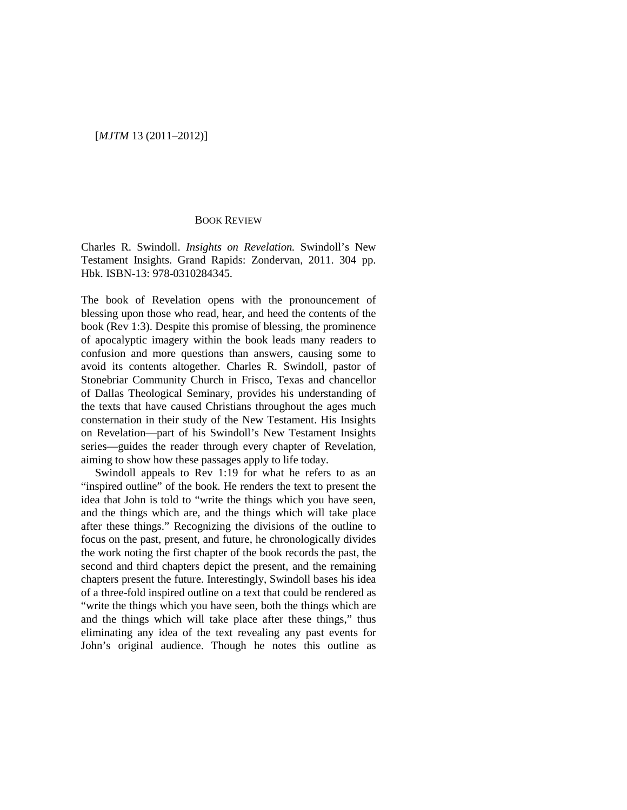## [*MJTM* 13 (2011–2012)]

## BOOK REVIEW

Charles R. Swindoll. *Insights on Revelation.* Swindoll's New Testament Insights. Grand Rapids: Zondervan, 2011. 304 pp. Hbk. ISBN-13: 978-0310284345.

The book of Revelation opens with the pronouncement of blessing upon those who read, hear, and heed the contents of the book (Rev 1:3). Despite this promise of blessing, the prominence of apocalyptic imagery within the book leads many readers to confusion and more questions than answers, causing some to avoid its contents altogether. Charles R. Swindoll, pastor of Stonebriar Community Church in Frisco, Texas and chancellor of Dallas Theological Seminary, provides his understanding of the texts that have caused Christians throughout the ages much consternation in their study of the New Testament. His Insights on Revelation—part of his Swindoll's New Testament Insights series—guides the reader through every chapter of Revelation, aiming to show how these passages apply to life today.

Swindoll appeals to Rev 1:19 for what he refers to as an "inspired outline" of the book. He renders the text to present the idea that John is told to "write the things which you have seen, and the things which are, and the things which will take place after these things." Recognizing the divisions of the outline to focus on the past, present, and future, he chronologically divides the work noting the first chapter of the book records the past, the second and third chapters depict the present, and the remaining chapters present the future. Interestingly, Swindoll bases his idea of a three-fold inspired outline on a text that could be rendered as "write the things which you have seen, both the things which are and the things which will take place after these things," thus eliminating any idea of the text revealing any past events for John's original audience. Though he notes this outline as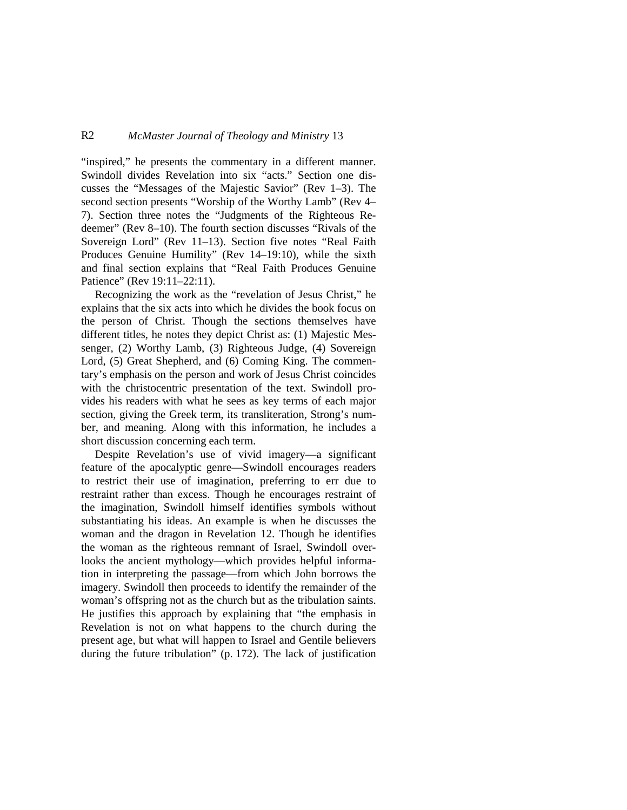## R2 *McMaster Journal of Theology and Ministry* 13

"inspired," he presents the commentary in a different manner. Swindoll divides Revelation into six "acts." Section one discusses the "Messages of the Majestic Savior" (Rev 1–3). The second section presents "Worship of the Worthy Lamb" (Rev 4– 7). Section three notes the "Judgments of the Righteous Redeemer" (Rev 8–10). The fourth section discusses "Rivals of the Sovereign Lord" (Rev 11–13). Section five notes "Real Faith Produces Genuine Humility" (Rev 14–19:10), while the sixth and final section explains that "Real Faith Produces Genuine Patience" (Rev 19:11–22:11).

Recognizing the work as the "revelation of Jesus Christ," he explains that the six acts into which he divides the book focus on the person of Christ. Though the sections themselves have different titles, he notes they depict Christ as: (1) Majestic Messenger, (2) Worthy Lamb, (3) Righteous Judge, (4) Sovereign Lord, (5) Great Shepherd, and (6) Coming King. The commentary's emphasis on the person and work of Jesus Christ coincides with the christocentric presentation of the text. Swindoll provides his readers with what he sees as key terms of each major section, giving the Greek term, its transliteration, Strong's number, and meaning. Along with this information, he includes a short discussion concerning each term.

Despite Revelation's use of vivid imagery—a significant feature of the apocalyptic genre—Swindoll encourages readers to restrict their use of imagination, preferring to err due to restraint rather than excess. Though he encourages restraint of the imagination, Swindoll himself identifies symbols without substantiating his ideas. An example is when he discusses the woman and the dragon in Revelation 12. Though he identifies the woman as the righteous remnant of Israel, Swindoll overlooks the ancient mythology—which provides helpful information in interpreting the passage—from which John borrows the imagery. Swindoll then proceeds to identify the remainder of the woman's offspring not as the church but as the tribulation saints. He justifies this approach by explaining that "the emphasis in Revelation is not on what happens to the church during the present age, but what will happen to Israel and Gentile believers during the future tribulation" (p. 172). The lack of justification